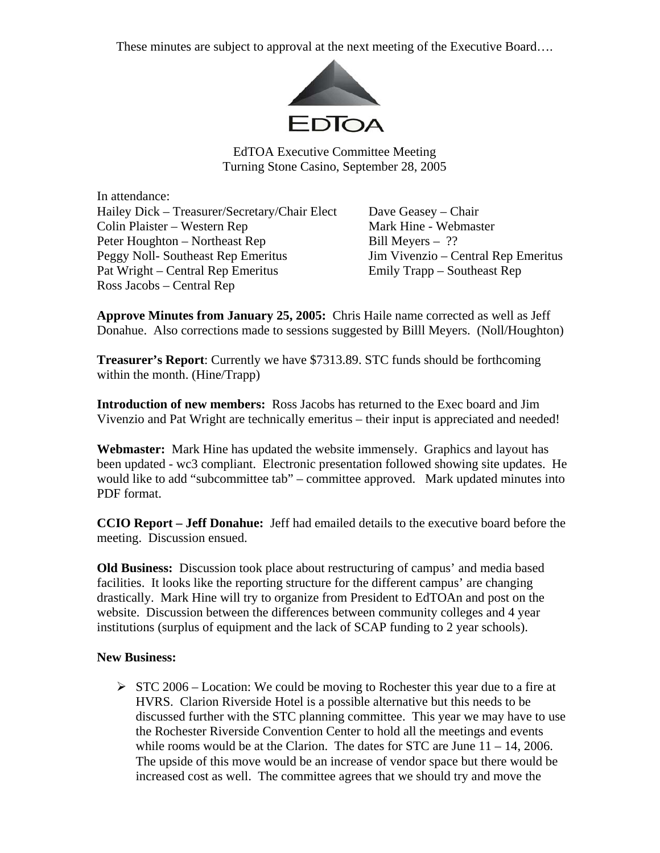These minutes are subject to approval at the next meeting of the Executive Board….



EdTOA Executive Committee Meeting Turning Stone Casino, September 28, 2005

In attendance: Hailey Dick – Treasurer/Secretary/Chair Elect Dave Geasey – Chair Colin Plaister – Western Rep Mark Hine - Webmaster Peter Houghton – Northeast Rep Bill Meyers – ?? Peggy Noll- Southeast Rep Emeritus Jim Vivenzio – Central Rep Emeritus Pat Wright – Central Rep Emeritus Emily Trapp – Southeast Rep Ross Jacobs – Central Rep

**Approve Minutes from January 25, 2005:** Chris Haile name corrected as well as Jeff Donahue. Also corrections made to sessions suggested by Billl Meyers. (Noll/Houghton)

**Treasurer's Report**: Currently we have \$7313.89. STC funds should be forthcoming within the month. (Hine/Trapp)

**Introduction of new members:** Ross Jacobs has returned to the Exec board and Jim Vivenzio and Pat Wright are technically emeritus – their input is appreciated and needed!

**Webmaster:** Mark Hine has updated the website immensely. Graphics and layout has been updated - wc3 compliant. Electronic presentation followed showing site updates. He would like to add "subcommittee tab" – committee approved. Mark updated minutes into PDF format.

**CCIO Report – Jeff Donahue:** Jeff had emailed details to the executive board before the meeting. Discussion ensued.

**Old Business:** Discussion took place about restructuring of campus' and media based facilities. It looks like the reporting structure for the different campus' are changing drastically. Mark Hine will try to organize from President to EdTOAn and post on the website. Discussion between the differences between community colleges and 4 year institutions (surplus of equipment and the lack of SCAP funding to 2 year schools).

## **New Business:**

 $\triangleright$  STC 2006 – Location: We could be moving to Rochester this year due to a fire at HVRS. Clarion Riverside Hotel is a possible alternative but this needs to be discussed further with the STC planning committee. This year we may have to use the Rochester Riverside Convention Center to hold all the meetings and events while rooms would be at the Clarion. The dates for STC are June  $11 - 14$ , 2006. The upside of this move would be an increase of vendor space but there would be increased cost as well. The committee agrees that we should try and move the